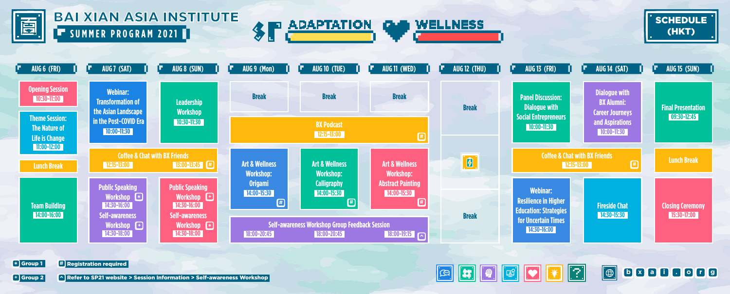

## **SUMMER PROGRAM 2021 1** BAI XIAN ASIA INSTITUTE









Group 1 **#** Registration required **\***



**<sup>+</sup>** Group 2 Refer to SP21 website > Session Information > Self-awareness Workshop **^**